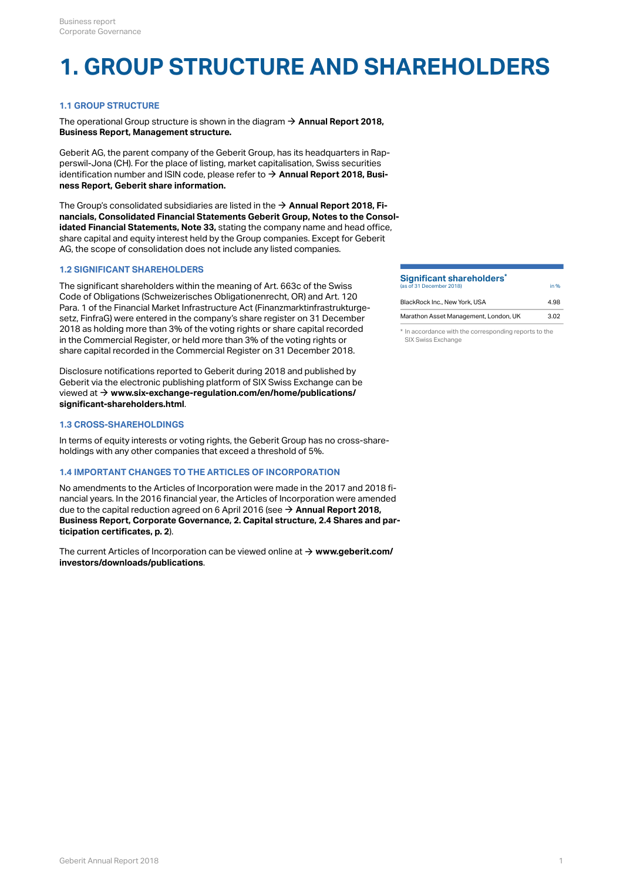## **1. GROUP STRUCTURE AND SHAREHOLDERS**

## **1.1 GROUP STRUCTURE**

The operational Group structure is shown in the diagram  $\rightarrow$  **[Annual Report 2018,](http://annualreport.geberit.com/reports/geberit/annual/2018/gb/English/1040/management-structure.html) [Business Report, Management structure.](http://annualreport.geberit.com/reports/geberit/annual/2018/gb/English/1040/management-structure.html)**

Geberit AG, the parent company of the Geberit Group, has its headquarters in Rapperswil-Jona (CH). For the place of listing, market capitalisation, Swiss securities identification number and ISIN code, please refer to **[Annual Report 2018, Busi-](http://annualreport.geberit.com/reports/geberit/annual/2018/gb/English/1030/geberit-share-information.html)**[\\$](http://annualreport.geberit.com/reports/geberit/annual/2018/gb/English/1030/geberit-share-information.html) **[ness Report, Geberit share information.](http://annualreport.geberit.com/reports/geberit/annual/2018/gb/English/1030/geberit-share-information.html)**

The Group's consolidated subsidiaries are listed in the **[Annual Report 2018, Fi-](http://annualreport.geberit.com/reports/geberit/annual/2018/gb/English/20405033/33_-group-companies-as-at-31-december-2018.html)**[\\$](http://annualreport.geberit.com/reports/geberit/annual/2018/gb/English/20405033/33_-group-companies-as-at-31-december-2018.html) **[nancials, Consolidated Financial Statements Geberit Group, Notes to the Consol](http://annualreport.geberit.com/reports/geberit/annual/2018/gb/English/20405033/33_-group-companies-as-at-31-december-2018.html)[idated Financial Statements, Note 33,](http://annualreport.geberit.com/reports/geberit/annual/2018/gb/English/20405033/33_-group-companies-as-at-31-december-2018.html)** stating the company name and head office, share capital and equity interest held by the Group companies. Except for Geberit AG, the scope of consolidation does not include any listed companies.

## **1.2 SIGNIFICANT SHAREHOLDERS**

The significant shareholders within the meaning of Art. 663c of the Swiss Code of Obligations (Schweizerisches Obligationenrecht, OR) and Art. 120 Para. 1 of the Financial Market Infrastructure Act (Finanzmarktinfrastrukturgesetz, FinfraG) were entered in the company's share register on 31 December 2018 as holding more than 3% of the voting rights or share capital recorded in the Commercial Register, or held more than 3% of the voting rights or share capital recorded in the Commercial Register on 31 December 2018.

Disclosure notifications reported to Geberit during 2018 and published by Geberit via the electronic publishing platform of SIX Swiss Exchange can be viewed at **[www.six-exchange-regulation.com/en/home/publications/](https://www.six-exchange-regulation.com/en/home/publications/significant-shareholders.html)** [\\$](https://www.six-exchange-regulation.com/en/home/publications/significant-shareholders.html) **[significant-shareholders.html](https://www.six-exchange-regulation.com/en/home/publications/significant-shareholders.html)**.

## **1.3 CROSS-SHAREHOLDINGS**

In terms of equity interests or voting rights, the Geberit Group has no cross-shareholdings with any other companies that exceed a threshold of 5%.

## **1.4 IMPORTANT CHANGES TO THE ARTICLES OF INCORPORATION**

No amendments to the Articles of Incorporation were made in the 2017 and 2018 financial years. In the 2016 financial year, the Articles of Incorporation were amended due to the capital reduction agreed on 6 April 2016 (see **→ [Annual Report 2018,](#page-1-0) [Business Report, Corporate Governance, 2. Capital structure, 2.4 Shares and par](#page-1-0)[ticipation certificates, p. 2](#page-1-0)**).

The current Articles of Incorporation can be viewed online at  $\rightarrow$   $www.geberit.com/$ **[investors/downloads/publications](https://www.geberit.com/investors/downloads/publications/)**.

#### **Significant shareholders<sup>\*</sup><br>(is of 31 December 2019)** (as of 31 December 2018) **\***

| BlackRock Inc., New York, USA         | 4.98 |
|---------------------------------------|------|
| Marathon Asset Management, London, UK | 3.02 |

in %

\* In accordance with the corresponding reports to the SIX Swiss Exchange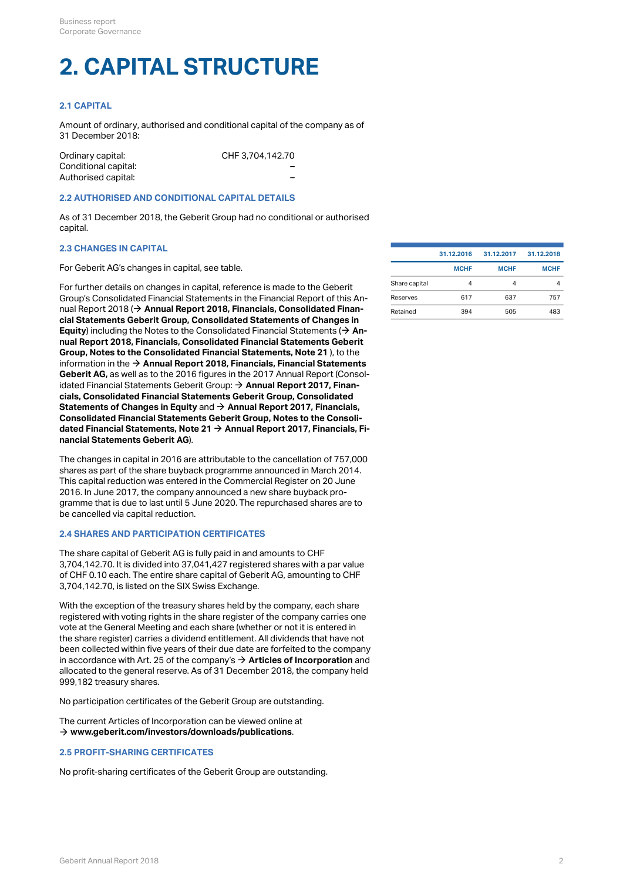# **2. CAPITAL STRUCTURE**

## **2.1 CAPITAL**

Amount of ordinary, authorised and conditional capital of the company as of 31 December 2018:

| Ordinary capital:    | CHF 3.704.142.70 |  |
|----------------------|------------------|--|
| Conditional capital: | -                |  |
| Authorised capital:  | -                |  |

### **2.2 AUTHORISED AND CONDITIONAL CAPITAL DETAILS**

As of 31 December 2018, the Geberit Group had no conditional or authorised capital.

## **2.3 CHANGES IN CAPITAL**

For Geberit AG's changes in capital, see table.

For further details on changes in capital, reference is made to the Geberit Group's Consolidated Financial Statements in the Financial Report of this Annual Report 2018 (**→ Annual Report 2018, Financials, Consolidated Finan-** Retained 394 505 483 505 483 **[cial Statements Geberit Group, Consolidated Statements of Changes in](http://annualreport.geberit.com/reports/geberit/annual/2018/gb/English/204030/consolidated-statements-of-comprehensive-income-and-changes-in-equity.html) [Equity](http://annualreport.geberit.com/reports/geberit/annual/2018/gb/English/204030/consolidated-statements-of-comprehensive-income-and-changes-in-equity.html)**) including the Notes to the Consolidated Financial Statements ( **[An](http://annualreport.geberit.com/reports/geberit/annual/2018/gb/English/20405021/21_-capital-stock-and-treasury-shares.html)[nual Report 2018, Financials, Consolidated Financial Statements Geberit](http://annualreport.geberit.com/reports/geberit/annual/2018/gb/English/20405021/21_-capital-stock-and-treasury-shares.html) [Group, Notes to the Consolidated Financial Statements, Note 21](http://annualreport.geberit.com/reports/geberit/annual/2018/gb/English/20405021/21_-capital-stock-and-treasury-shares.html)** ), to the information in the **[Annual Report 2018, Financials, Financial Statements](http://annualreport.geberit.com/reports/geberit/annual/2018/gb/English/2050/financial-statements-geberit-ag.html)** [\\$](http://annualreport.geberit.com/reports/geberit/annual/2018/gb/English/2050/financial-statements-geberit-ag.html) **[Geberit AG,](http://annualreport.geberit.com/reports/geberit/annual/2018/gb/English/2050/financial-statements-geberit-ag.html)** as well as to the 2016 figures in the 2017 Annual Report (Consolidated Financial Statements Geberit Group: **[Annual Report 2017, Finan-](https://annualreport.geberit.com/reports/geberit/annual/2017/gb/English/204030.html#table-1003)**[\\$](https://annualreport.geberit.com/reports/geberit/annual/2017/gb/English/204030.html#table-1003) **[cials, Consolidated Financial Statements Geberit Group, Consolidated](https://annualreport.geberit.com/reports/geberit/annual/2017/gb/English/204030.html#table-1003) [Statements of Changes in Equity](https://annualreport.geberit.com/reports/geberit/annual/2017/gb/English/204030.html#table-1003)** and **[Annual Report 2017, Financials,](https://annualreport.geberit.com/reports/geberit/annual/2017/gb/English/20405021/21_-capital-stock-and-treasury-shares.html)** [\\$](https://annualreport.geberit.com/reports/geberit/annual/2017/gb/English/20405021/21_-capital-stock-and-treasury-shares.html) **[Consolidated Financial Statements Geberit Group, Notes to the Consoli](https://annualreport.geberit.com/reports/geberit/annual/2017/gb/English/20405021/21_-capital-stock-and-treasury-shares.html)[dated Financial Statements, Note 21](https://annualreport.geberit.com/reports/geberit/annual/2017/gb/English/20405021/21_-capital-stock-and-treasury-shares.html) [Annual Report 2017, Financials, Fi-](https://annualreport.geberit.com/reports/geberit/annual/2017/gb/English/2050.html)**[\\$](https://annualreport.geberit.com/reports/geberit/annual/2017/gb/English/2050.html) **[nancial Statements Geberit AG](https://annualreport.geberit.com/reports/geberit/annual/2017/gb/English/2050.html)**).  $\rightarrow$  An-

The changes in capital in 2016 are attributable to the cancellation of 757,000 shares as part of the share buyback programme announced in March 2014. This capital reduction was entered in the Commercial Register on 20 June 2016. In June 2017, the company announced a new share buyback programme that is due to last until 5 June 2020. The repurchased shares are to be cancelled via capital reduction.

## <span id="page-1-0"></span>**2.4 SHARES AND PARTICIPATION CERTIFICATES**

The share capital of Geberit AG is fully paid in and amounts to CHF 3,704,142.70. It is divided into 37,041,427 registered shares with a par value of CHF 0.10 each. The entire share capital of Geberit AG, amounting to CHF 3,704,142.70, is listed on the SIX Swiss Exchange.

With the exception of the treasury shares held by the company, each share registered with voting rights in the share register of the company carries one vote at the General Meeting and each share (whether or not it is entered in the share register) carries a dividend entitlement. All dividends that have not been collected within five years of their due date are forfeited to the company in accordance with Art. 25 of the company's **[Articles of Incorporation](https://annualreport.geberit.com/geberit/annual/2018/gb/layout/../English/pdf/articles_of_incorporation_geberit_ag.pdf)** and [\\$](https://annualreport.geberit.com/geberit/annual/2018/gb/layout/../English/pdf/articles_of_incorporation_geberit_ag.pdf) allocated to the general reserve. As of 31 December 2018, the company held 999,182 treasury shares.

No participation certificates of the Geberit Group are outstanding.

The current Articles of Incorporation can be viewed online at **[www.geberit.com/investors/downloads/publications](https://www.geberit.com/investors/downloads/publications/)**. [\\$](https://www.geberit.com/investors/downloads/publications/)

## **2.5 PROFIT-SHARING CERTIFICATES**

No profit-sharing certificates of the Geberit Group are outstanding.

|               | 31.12.2016  | 31.12.2017  | 31.12.2018  |
|---------------|-------------|-------------|-------------|
|               | <b>MCHF</b> | <b>MCHF</b> | <b>MCHF</b> |
| Share capital | 4           | 4           | 4           |
| Reserves      | 617         | 637         | 757         |
| Retained      | 394         | 505         | 483         |
|               |             |             |             |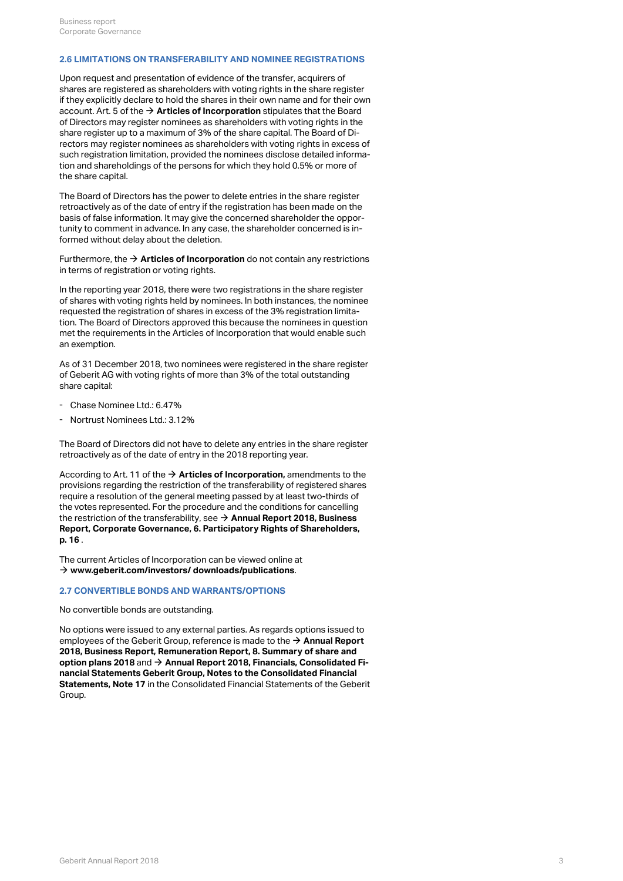#### <span id="page-2-0"></span>**2.6 LIMITATIONS ON TRANSFERABILITY AND NOMINEE REGISTRATIONS**

Upon request and presentation of evidence of the transfer, acquirers of shares are registered as shareholders with voting rights in the share register if they explicitly declare to hold the shares in their own name and for their own account. Art. 5 of the **[Articles of Incorporation](https://annualreport.geberit.com/geberit/annual/2018/gb/layout/../English/pdf/articles_of_incorporation_geberit_ag.pdf)** stipulates that the Board [\\$](https://annualreport.geberit.com/geberit/annual/2018/gb/layout/../English/pdf/articles_of_incorporation_geberit_ag.pdf) of Directors may register nominees as shareholders with voting rights in the share register up to a maximum of 3% of the share capital. The Board of Directors may register nominees as shareholders with voting rights in excess of such registration limitation, provided the nominees disclose detailed information and shareholdings of the persons for which they hold 0.5% or more of the share capital.

The Board of Directors has the power to delete entries in the share register retroactively as of the date of entry if the registration has been made on the basis of false information. It may give the concerned shareholder the opportunity to comment in advance. In any case, the shareholder concerned is informed without delay about the deletion.

Furthermore, the **[Articles of Incorporation](https://annualreport.geberit.com/geberit/annual/2018/gb/layout/../English/pdf/articles_of_incorporation_geberit_ag.pdf)** do not contain any restrictions [\\$](https://annualreport.geberit.com/geberit/annual/2018/gb/layout/../English/pdf/articles_of_incorporation_geberit_ag.pdf) in terms of registration or voting rights.

In the reporting year 2018, there were two registrations in the share register of shares with voting rights held by nominees. In both instances, the nominee requested the registration of shares in excess of the 3% registration limitation. The Board of Directors approved this because the nominees in question met the requirements in the Articles of Incorporation that would enable such an exemption.

As of 31 December 2018, two nominees were registered in the share register of Geberit AG with voting rights of more than 3% of the total outstanding share capital:

- Chase Nominee Ltd.: 6.47%
- Nortrust Nominees Ltd.: 3.12%

The Board of Directors did not have to delete any entries in the share register retroactively as of the date of entry in the 2018 reporting year.

According to Art. 11 of the → **[Articles of Incorporation,](https://annualreport.geberit.com/geberit/annual/2018/gb/layout/../English/pdf/articles_of_incorporation_geberit_ag.pdf)** amendments to the provisions regarding the restriction of the transferability of registered shares require a resolution of the general meeting passed by at least two-thirds of the votes represented. For the procedure and the conditions for cancelling the restriction of the transferability, see **[Annual Report 2018, Business](#page-15-0)** [\\$](#page-15-0) **[Report, Corporate Governance, 6. Participatory Rights of Shareholders,](#page-15-0) [p. 16](#page-15-0)** .

The current Articles of Incorporation can be viewed online at **[www.geberit.com/investors/ downloads/publications](https://www.geberit.com/investors/downloads/publications/)**. [\\$](https://www.geberit.com/investors/downloads/publications/)

## **2.7 CONVERTIBLE BONDS AND WARRANTS/OPTIONS**

No convertible bonds are outstanding.

No options were issued to any external parties. As regards options issued to employees of the Geberit Group, reference is made to the  $\rightarrow$  **[Annual Report](http://annualreport.geberit.com/reports/geberit/annual/2018/gb/English/107080/8_-summary-of-share-and-option-plans_nbsp_2018.html) [2018, Business Report, Remuneration Report, 8. Summary of share and](http://annualreport.geberit.com/reports/geberit/annual/2018/gb/English/107080/8_-summary-of-share-and-option-plans_nbsp_2018.html) [option plans 2018](http://annualreport.geberit.com/reports/geberit/annual/2018/gb/English/107080/8_-summary-of-share-and-option-plans_nbsp_2018.html)** and → [Annual Report 2018, Financials, Consolidated Fi](http://annualreport.geberit.com/reports/geberit/annual/2018/gb/English/20405017/17_-participation-plans.html)**[nancial Statements Geberit Group, Notes to the Consolidated Financial](http://annualreport.geberit.com/reports/geberit/annual/2018/gb/English/20405017/17_-participation-plans.html) [Statements, Note 17](http://annualreport.geberit.com/reports/geberit/annual/2018/gb/English/20405017/17_-participation-plans.html)** in the Consolidated Financial Statements of the Geberit Group.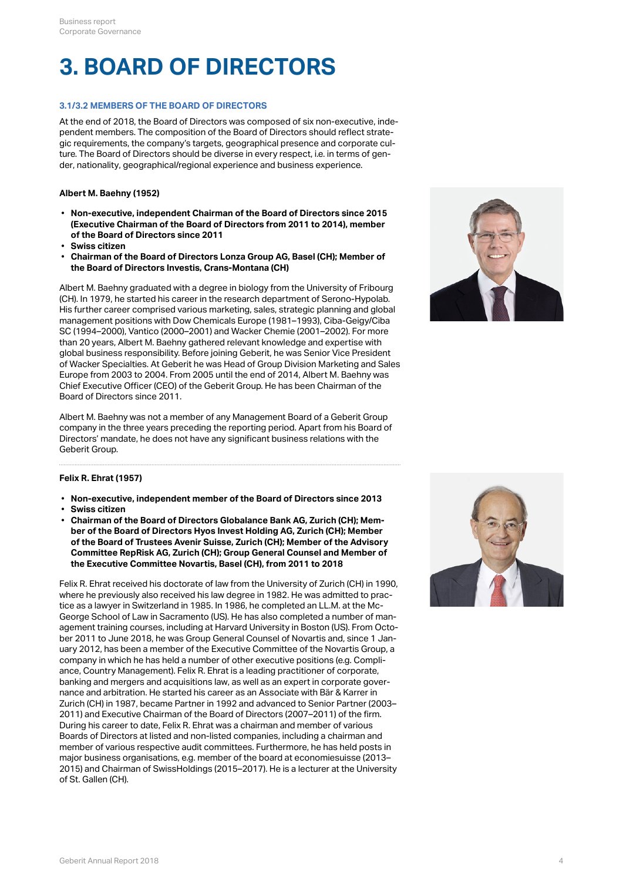## **3. BOARD OF DIRECTORS**

## **3.1/3.2 MEMBERS OF THE BOARD OF DIRECTORS**

At the end of 2018, the Board of Directors was composed of six non-executive, independent members. The composition of the Board of Directors should reflect strategic requirements, the company's targets, geographical presence and corporate culture. The Board of Directors should be diverse in every respect, i.e. in terms of gender, nationality, geographical/regional experience and business experience.

## **Albert M. Baehny (1952)**

- **Non-executive, independent Chairman of the Board of Directors since 2015 (Executive Chairman of the Board of Directors from 2011 to 2014), member of the Board of Directors since 2011**
- **Swiss citizen**
- **Chairman of the Board of Directors Lonza Group AG, Basel (CH); Member of the Board of Directors Investis, Crans-Montana (CH)**

Albert M. Baehny graduated with a degree in biology from the University of Fribourg (CH). In 1979, he started his career in the research department of Serono-Hypolab. His further career comprised various marketing, sales, strategic planning and global management positions with Dow Chemicals Europe (1981–1993), Ciba-Geigy/Ciba SC (1994–2000), Vantico (2000–2001) and Wacker Chemie (2001–2002). For more than 20 years, Albert M. Baehny gathered relevant knowledge and expertise with global business responsibility. Before joining Geberit, he was Senior Vice President of Wacker Specialties. At Geberit he was Head of Group Division Marketing and Sales Europe from 2003 to 2004. From 2005 until the end of 2014, Albert M. Baehny was Chief Executive Officer (CEO) of the Geberit Group. He has been Chairman of the Board of Directors since 2011.

Albert M. Baehny was not a member of any Management Board of a Geberit Group company in the three years preceding the reporting period. Apart from his Board of Directors' mandate, he does not have any significant business relations with the Geberit Group.



## **Felix R. Ehrat (1957)**

- **Non-executive, independent member of the Board of Directors since 2013**
- **Swiss citizen**
- **Chairman of the Board of Directors Globalance Bank AG, Zurich (CH); Member of the Board of Directors Hyos Invest Holding AG, Zurich (CH); Member of the Board of Trustees Avenir Suisse, Zurich (CH); Member of the Advisory Committee RepRisk AG, Zurich (CH); Group General Counsel and Member of the Executive Committee Novartis, Basel (CH), from 2011 to 2018**

Felix R. Ehrat received his doctorate of law from the University of Zurich (CH) in 1990, where he previously also received his law degree in 1982. He was admitted to practice as a lawyer in Switzerland in 1985. In 1986, he completed an LL.M. at the Mc-George School of Law in Sacramento (US). He has also completed a number of management training courses, including at Harvard University in Boston (US). From October 2011 to June 2018, he was Group General Counsel of Novartis and, since 1 January 2012, has been a member of the Executive Committee of the Novartis Group, a company in which he has held a number of other executive positions (e.g. Compliance, Country Management). Felix R. Ehrat is a leading practitioner of corporate, banking and mergers and acquisitions law, as well as an expert in corporate governance and arbitration. He started his career as an Associate with Bär & Karrer in Zurich (CH) in 1987, became Partner in 1992 and advanced to Senior Partner (2003– 2011) and Executive Chairman of the Board of Directors (2007–2011) of the firm. During his career to date, Felix R. Ehrat was a chairman and member of various Boards of Directors at listed and non-listed companies, including a chairman and member of various respective audit committees. Furthermore, he has held posts in major business organisations, e.g. member of the board at economiesuisse (2013– 2015) and Chairman of SwissHoldings (2015–2017). He is a lecturer at the University of St. Gallen (CH).

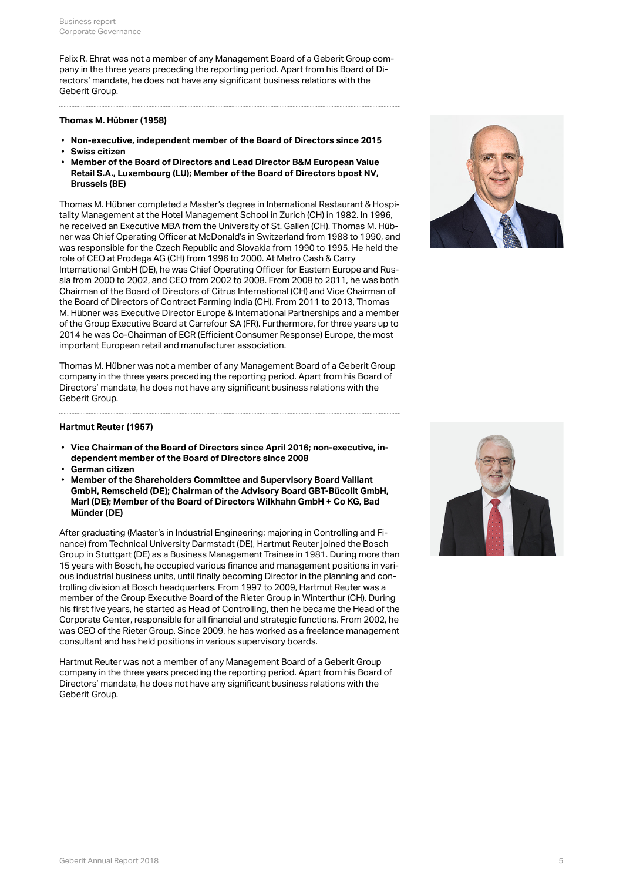Felix R. Ehrat was not a member of any Management Board of a Geberit Group company in the three years preceding the reporting period. Apart from his Board of Directors' mandate, he does not have any significant business relations with the Geberit Group.

#### **Thomas M. Hübner (1958)**

- **Non-executive, independent member of the Board of Directors since 2015**
- **Swiss citizen**
- **Member of the Board of Directors and Lead Director B&M European Value Retail S.A., Luxembourg (LU); Member of the Board of Directors bpost NV, Brussels (BE)**

Thomas M. Hübner completed a Master's degree in International Restaurant & Hospitality Management at the Hotel Management School in Zurich (CH) in 1982. In 1996, he received an Executive MBA from the University of St. Gallen (CH). Thomas M. Hübner was Chief Operating Officer at McDonald's in Switzerland from 1988 to 1990, and was responsible for the Czech Republic and Slovakia from 1990 to 1995. He held the role of CEO at Prodega AG (CH) from 1996 to 2000. At Metro Cash & Carry International GmbH (DE), he was Chief Operating Officer for Eastern Europe and Russia from 2000 to 2002, and CEO from 2002 to 2008. From 2008 to 2011, he was both Chairman of the Board of Directors of Citrus International (CH) and Vice Chairman of the Board of Directors of Contract Farming India (CH). From 2011 to 2013, Thomas M. Hübner was Executive Director Europe & International Partnerships and a member of the Group Executive Board at Carrefour SA (FR). Furthermore, for three years up to 2014 he was Co-Chairman of ECR (Efficient Consumer Response) Europe, the most important European retail and manufacturer association.

Thomas M. Hübner was not a member of any Management Board of a Geberit Group company in the three years preceding the reporting period. Apart from his Board of Directors' mandate, he does not have any significant business relations with the Geberit Group.



## **Hartmut Reuter (1957)**

- **Vice Chairman of the Board of Directors since April 2016; non-executive, independent member of the Board of Directors since 2008**
- **German citizen**
- **Member of the Shareholders Committee and Supervisory Board Vaillant GmbH, Remscheid (DE); Chairman of the Advisory Board GBT-Bücolit GmbH, Marl (DE); Member of the Board of Directors Wilkhahn GmbH + Co KG, Bad Münder (DE)**

After graduating (Master's in Industrial Engineering; majoring in Controlling and Finance) from Technical University Darmstadt (DE), Hartmut Reuter joined the Bosch Group in Stuttgart (DE) as a Business Management Trainee in 1981. During more than 15 years with Bosch, he occupied various finance and management positions in various industrial business units, until finally becoming Director in the planning and controlling division at Bosch headquarters. From 1997 to 2009, Hartmut Reuter was a member of the Group Executive Board of the Rieter Group in Winterthur (CH). During his first five years, he started as Head of Controlling, then he became the Head of the Corporate Center, responsible for all financial and strategic functions. From 2002, he was CEO of the Rieter Group. Since 2009, he has worked as a freelance management consultant and has held positions in various supervisory boards.

Hartmut Reuter was not a member of any Management Board of a Geberit Group company in the three years preceding the reporting period. Apart from his Board of Directors' mandate, he does not have any significant business relations with the Geberit Group.

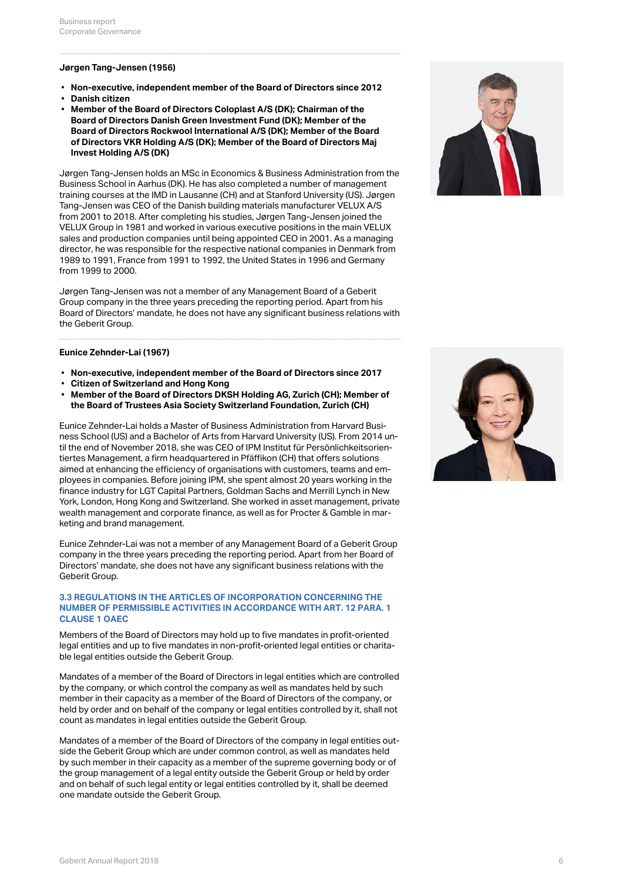### **Jørgen Tang-Jensen (1956)**

- **Non-executive, independent member of the Board of Directors since 2012**
- **Danish citizen**
- **Member of the Board of Directors Coloplast A/S (DK); Chairman of the Board of Directors Danish Green Investment Fund (DK); Member of the Board of Directors Rockwool International A/S (DK); Member of the Board of Directors VKR Holding A/S (DK); Member of the Board of Directors Maj Invest Holding A/S (DK)**

Jørgen Tang-Jensen holds an MSc in Economics & Business Administration from the Business School in Aarhus (DK). He has also completed a number of management training courses at the IMD in Lausanne (CH) and at Stanford University (US). Jørgen Tang-Jensen was CEO of the Danish building materials manufacturer VELUX A/S from 2001 to 2018. After completing his studies, Jørgen Tang-Jensen joined the VELUX Group in 1981 and worked in various executive positions in the main VELUX sales and production companies until being appointed CEO in 2001. As a managing director, he was responsible for the respective national companies in Denmark from 1989 to 1991, France from 1991 to 1992, the United States in 1996 and Germany from 1999 to 2000.

Jørgen Tang-Jensen was not a member of any Management Board of a Geberit Group company in the three years preceding the reporting period. Apart from his Board of Directors' mandate, he does not have any significant business relations with the Geberit Group.

#### **Eunice Zehnder-Lai (1967)**

- **Non-executive, independent member of the Board of Directors since 2017**
- **Citizen of Switzerland and Hong Kong**
- **Member of the Board of Directors DKSH Holding AG, Zurich (CH); Member of the Board of Trustees Asia Society Switzerland Foundation, Zurich (CH)**

Eunice Zehnder-Lai holds a Master of Business Administration from Harvard Business School (US) and a Bachelor of Arts from Harvard University (US). From 2014 until the end of November 2018, she was CEO of IPM Institut für Persönlichkeitsorientiertes Management, a firm headquartered in Pfäffikon (CH) that offers solutions aimed at enhancing the efficiency of organisations with customers, teams and employees in companies. Before joining IPM, she spent almost 20 years working in the finance industry for LGT Capital Partners, Goldman Sachs and Merrill Lynch in New York, London, Hong Kong and Switzerland. She worked in asset management, private wealth management and corporate finance, as well as for Procter & Gamble in marketing and brand management.

Eunice Zehnder-Lai was not a member of any Management Board of a Geberit Group company in the three years preceding the reporting period. Apart from her Board of Directors' mandate, she does not have any significant business relations with the Geberit Group.

### **3.3 REGULATIONS IN THE ARTICLES OF INCORPORATION CONCERNING THE NUMBER OF PERMISSIBLE ACTIVITIES IN ACCORDANCE WITH ART. 12 PARA. 1 CLAUSE 1 OAEC**

Members of the Board of Directors may hold up to five mandates in profit-oriented legal entities and up to five mandates in non-profit-oriented legal entities or charitable legal entities outside the Geberit Group.

Mandates of a member of the Board of Directors in legal entities which are controlled by the company, or which control the company as well as mandates held by such member in their capacity as a member of the Board of Directors of the company, or held by order and on behalf of the company or legal entities controlled by it, shall not count as mandates in legal entities outside the Geberit Group.

Mandates of a member of the Board of Directors of the company in legal entities outside the Geberit Group which are under common control, as well as mandates held by such member in their capacity as a member of the supreme governing body or of the group management of a legal entity outside the Geberit Group or held by order and on behalf of such legal entity or legal entities controlled by it, shall be deemed one mandate outside the Geberit Group.



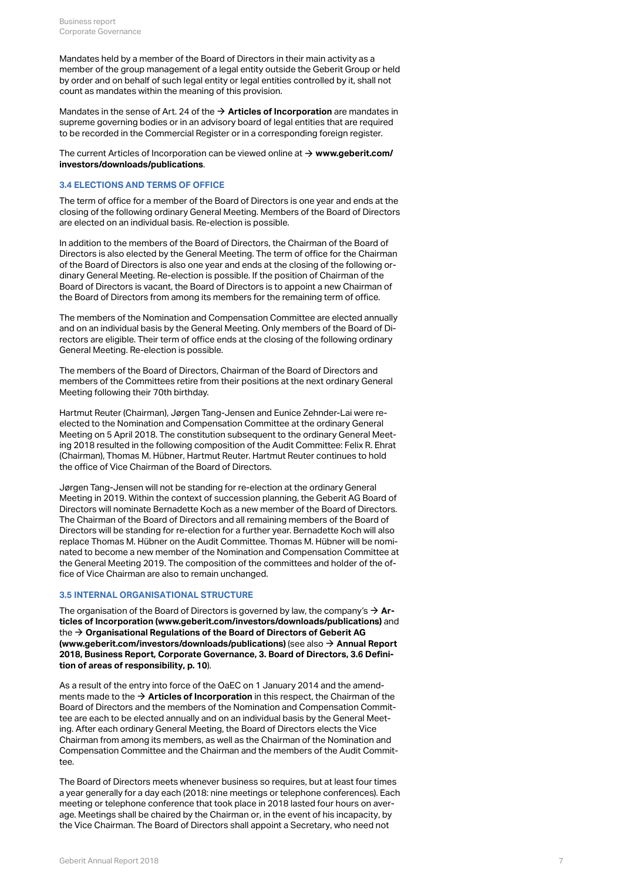Mandates held by a member of the Board of Directors in their main activity as a member of the group management of a legal entity outside the Geberit Group or held by order and on behalf of such legal entity or legal entities controlled by it, shall not count as mandates within the meaning of this provision.

Mandates in the sense of Art. 24 of the **[Articles of Incorporation](https://annualreport.geberit.com/geberit/annual/2018/gb/layout/../English/pdf/articles_of_incorporation_geberit_ag.pdf)** are mandates in [\\$](https://annualreport.geberit.com/geberit/annual/2018/gb/layout/../English/pdf/articles_of_incorporation_geberit_ag.pdf) supreme governing bodies or in an advisory board of legal entities that are required to be recorded in the Commercial Register or in a corresponding foreign register.

The current Articles of Incorporation can be viewed online at **[www.geberit.com/](https://www.geberit.com/investors/downloads/publications/)** [\\$](https://www.geberit.com/investors/downloads/publications/) **[investors/downloads/publications](https://www.geberit.com/investors/downloads/publications/)**.

#### **3.4 ELECTIONS AND TERMS OF OFFICE**

The term of office for a member of the Board of Directors is one year and ends at the closing of the following ordinary General Meeting. Members of the Board of Directors are elected on an individual basis. Re-election is possible.

In addition to the members of the Board of Directors, the Chairman of the Board of Directors is also elected by the General Meeting. The term of office for the Chairman of the Board of Directors is also one year and ends at the closing of the following ordinary General Meeting. Re-election is possible. If the position of Chairman of the Board of Directors is vacant, the Board of Directors is to appoint a new Chairman of the Board of Directors from among its members for the remaining term of office.

The members of the Nomination and Compensation Committee are elected annually and on an individual basis by the General Meeting. Only members of the Board of Directors are eligible. Their term of office ends at the closing of the following ordinary General Meeting. Re-election is possible.

The members of the Board of Directors, Chairman of the Board of Directors and members of the Committees retire from their positions at the next ordinary General Meeting following their 70th birthday.

Hartmut Reuter (Chairman), Jørgen Tang-Jensen and Eunice Zehnder-Lai were reelected to the Nomination and Compensation Committee at the ordinary General Meeting on 5 April 2018. The constitution subsequent to the ordinary General Meeting 2018 resulted in the following composition of the Audit Committee: Felix R. Ehrat (Chairman), Thomas M. Hübner, Hartmut Reuter. Hartmut Reuter continues to hold the office of Vice Chairman of the Board of Directors.

Jørgen Tang-Jensen will not be standing for re-election at the ordinary General Meeting in 2019. Within the context of succession planning, the Geberit AG Board of Directors will nominate Bernadette Koch as a new member of the Board of Directors. The Chairman of the Board of Directors and all remaining members of the Board of Directors will be standing for re-election for a further year. Bernadette Koch will also replace Thomas M. Hübner on the Audit Committee. Thomas M. Hübner will be nominated to become a new member of the Nomination and Compensation Committee at the General Meeting 2019. The composition of the committees and holder of the office of Vice Chairman are also to remain unchanged.

#### **3.5 INTERNAL ORGANISATIONAL STRUCTURE**

The organisation of the Board of Directors is governed by law, the company's **[Ar](https://annualreport.geberit.com/geberit/annual/2018/gb/layout/../English/pdf/articles_of_incorporation_geberit_ag.pdf)[ticles of Incorporation \(www.geberit.com/investors/downloads/publications\)](https://annualreport.geberit.com/geberit/annual/2018/gb/layout/../English/pdf/articles_of_incorporation_geberit_ag.pdf)** and the → [Organisational Regulations of the Board of Directors of Geberit AG](https://annualreport.geberit.com/geberit/annual/2018/gb/layout/../English/pdf/organizational_regulations_BoD.pdf) **[\(www.geberit.com/investors/downloads/publications\)](https://annualreport.geberit.com/geberit/annual/2018/gb/layout/../English/pdf/organizational_regulations_BoD.pdf)** (see also → [Annual Report](#page-9-0) **[2018, Business Report, Corporate Governance, 3. Board of Directors, 3.6 Defini](#page-9-0)[tion of areas of responsibility, p. 10](#page-9-0)**).  $\rightarrow$  Ar-

As a result of the entry into force of the OaEC on 1 January 2014 and the amendments made to the **[Articles of Incorporation](https://annualreport.geberit.com/geberit/annual/2018/gb/layout/../English/pdf/articles_of_incorporation_geberit_ag.pdf)** in this respect, the Chairman of the [\\$](https://annualreport.geberit.com/geberit/annual/2018/gb/layout/../English/pdf/articles_of_incorporation_geberit_ag.pdf)Board of Directors and the members of the Nomination and Compensation Committee are each to be elected annually and on an individual basis by the General Meeting. After each ordinary General Meeting, the Board of Directors elects the Vice Chairman from among its members, as well as the Chairman of the Nomination and Compensation Committee and the Chairman and the members of the Audit Committee.

The Board of Directors meets whenever business so requires, but at least four times a year generally for a day each (2018: nine meetings or telephone conferences). Each meeting or telephone conference that took place in 2018 lasted four hours on average. Meetings shall be chaired by the Chairman or, in the event of his incapacity, by the Vice Chairman. The Board of Directors shall appoint a Secretary, who need not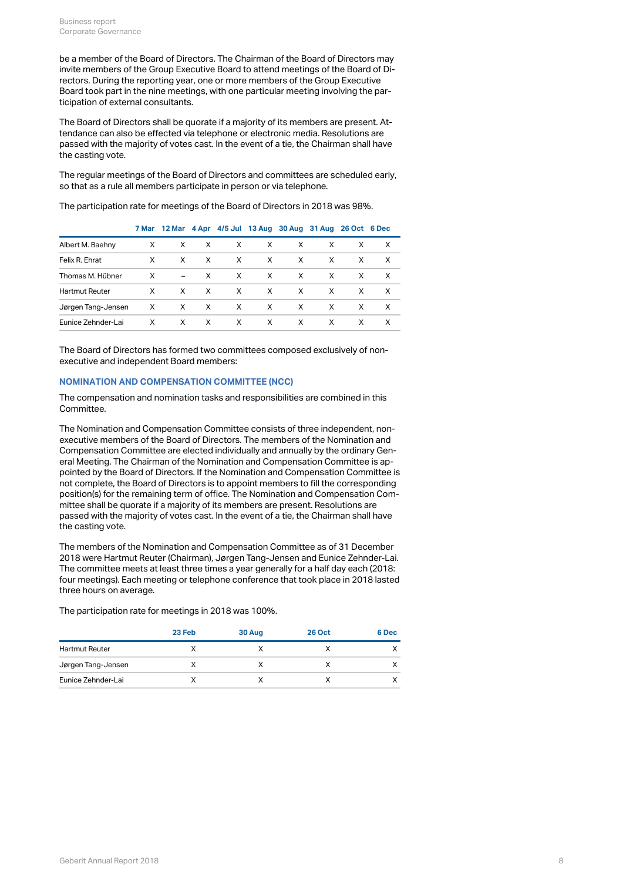be a member of the Board of Directors. The Chairman of the Board of Directors may invite members of the Group Executive Board to attend meetings of the Board of Directors. During the reporting year, one or more members of the Group Executive Board took part in the nine meetings, with one particular meeting involving the participation of external consultants.

The Board of Directors shall be quorate if a majority of its members are present. Attendance can also be effected via telephone or electronic media. Resolutions are passed with the majority of votes cast. In the event of a tie, the Chairman shall have the casting vote.

The regular meetings of the Board of Directors and committees are scheduled early, so that as a rule all members participate in person or via telephone.

The participation rate for meetings of the Board of Directors in 2018 was 98%.

|                       |              |   |              | 7 Mar 12 Mar 4 Apr 4/5 Jul 13 Aug 30 Aug 31 Aug 26 Oct 6 Dec |              |              |   |    |              |
|-----------------------|--------------|---|--------------|--------------------------------------------------------------|--------------|--------------|---|----|--------------|
| Albert M. Baehny      | X            | X | $\times$     | X                                                            | X            | X            | X | X  | X            |
| Felix R. Ehrat        | X            | X | $\mathsf{X}$ | $\mathsf{X}$                                                 | $\mathsf{X}$ | $\mathsf{X}$ | X | X  | $\mathsf{X}$ |
| Thomas M. Hübner      | X            |   | $- X$        | X                                                            | $\mathsf{X}$ | X.           | X | X  | $\mathsf{X}$ |
| <b>Hartmut Reuter</b> | $\times$     | X | $\mathsf{X}$ | $\mathsf{X}$                                                 | $\mathsf{X}$ | $\mathsf{X}$ | X | X  | $\mathsf{X}$ |
| Jørgen Tang-Jensen    | $\mathsf{X}$ |   | $X$ X        | $\mathsf{X}$                                                 | $\mathsf{X}$ | $\mathsf{X}$ | X | X  | $\mathsf{X}$ |
| Eunice Zehnder-Lai    | X            | X | X            | $\mathsf{X}$                                                 | $\mathsf{X}$ | X.           | X | X. | $\mathsf{X}$ |
|                       |              |   |              |                                                              |              |              |   |    |              |

The Board of Directors has formed two committees composed exclusively of nonexecutive and independent Board members:

## **NOMINATION AND COMPENSATION COMMITTEE (NCC)**

The compensation and nomination tasks and responsibilities are combined in this Committee.

The Nomination and Compensation Committee consists of three independent, nonexecutive members of the Board of Directors. The members of the Nomination and Compensation Committee are elected individually and annually by the ordinary General Meeting. The Chairman of the Nomination and Compensation Committee is appointed by the Board of Directors. If the Nomination and Compensation Committee is not complete, the Board of Directors is to appoint members to fill the corresponding position(s) for the remaining term of office. The Nomination and Compensation Committee shall be quorate if a majority of its members are present. Resolutions are passed with the majority of votes cast. In the event of a tie, the Chairman shall have the casting vote.

The members of the Nomination and Compensation Committee as of 31 December 2018 were Hartmut Reuter (Chairman), Jørgen Tang-Jensen and Eunice Zehnder-Lai. The committee meets at least three times a year generally for a half day each (2018: four meetings). Each meeting or telephone conference that took place in 2018 lasted three hours on average.

The participation rate for meetings in 2018 was 100%.

|                       | 23 Feb | 30 Aug | <b>26 Oct</b> | 6 Dec |
|-----------------------|--------|--------|---------------|-------|
| <b>Hartmut Reuter</b> |        |        |               |       |
| Jørgen Tang-Jensen    |        |        |               |       |
| Eunice Zehnder-Lai    |        |        |               |       |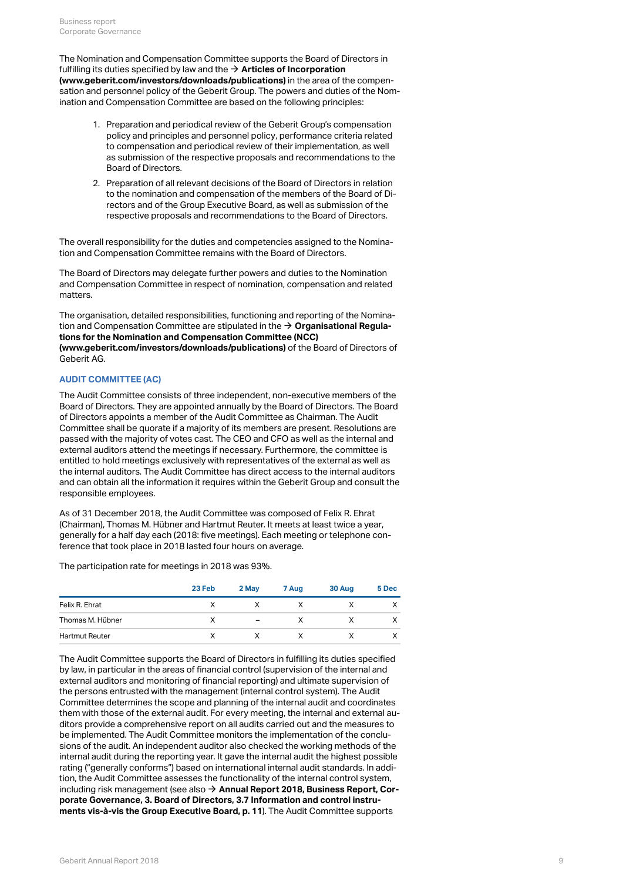The Nomination and Compensation Committee supports the Board of Directors in fulfilling its duties specified by law and the  $\rightarrow$  **[Articles of Incorporation](https://annualreport.geberit.com/geberit/annual/2018/gb/layout/../English/pdf/articles_of_incorporation_geberit_ag.pdf) [\(www.geberit.com/investors/downloads/publications\)](https://annualreport.geberit.com/geberit/annual/2018/gb/layout/../English/pdf/articles_of_incorporation_geberit_ag.pdf)** in the area of the compensation and personnel policy of the Geberit Group. The powers and duties of the Nomination and Compensation Committee are based on the following principles:

- 1. Preparation and periodical review of the Geberit Group's compensation policy and principles and personnel policy, performance criteria related to compensation and periodical review of their implementation, as well as submission of the respective proposals and recommendations to the Board of Directors.
- 2. Preparation of all relevant decisions of the Board of Directors in relation to the nomination and compensation of the members of the Board of Directors and of the Group Executive Board, as well as submission of the respective proposals and recommendations to the Board of Directors.

The overall responsibility for the duties and competencies assigned to the Nomination and Compensation Committee remains with the Board of Directors.

The Board of Directors may delegate further powers and duties to the Nomination and Compensation Committee in respect of nomination, compensation and related matters.

The organisation, detailed responsibilities, functioning and reporting of the Nomination and Compensation Committee are stipulated in the **[Organisational Regula-](https://annualreport.geberit.com/geberit/annual/2018/gb/layout/../English/pdf/organizational_regulations_NCC.pdf)**[\\$](https://annualreport.geberit.com/geberit/annual/2018/gb/layout/../English/pdf/organizational_regulations_NCC.pdf) **[tions for the Nomination and Compensation Committee \(NCC\)](https://annualreport.geberit.com/geberit/annual/2018/gb/layout/../English/pdf/organizational_regulations_NCC.pdf) [\(www.geberit.com/investors/downloads/publications\)](https://annualreport.geberit.com/geberit/annual/2018/gb/layout/../English/pdf/organizational_regulations_NCC.pdf)** of the Board of Directors of

Geberit AG.

## <span id="page-8-0"></span>**AUDIT COMMITTEE (AC)**

The Audit Committee consists of three independent, non-executive members of the Board of Directors. They are appointed annually by the Board of Directors. The Board of Directors appoints a member of the Audit Committee as Chairman. The Audit Committee shall be quorate if a majority of its members are present. Resolutions are passed with the majority of votes cast. The CEO and CFO as well as the internal and external auditors attend the meetings if necessary. Furthermore, the committee is entitled to hold meetings exclusively with representatives of the external as well as the internal auditors. The Audit Committee has direct access to the internal auditors and can obtain all the information it requires within the Geberit Group and consult the responsible employees.

As of 31 December 2018, the Audit Committee was composed of Felix R. Ehrat (Chairman), Thomas M. Hübner and Hartmut Reuter. It meets at least twice a year, generally for a half day each (2018: five meetings). Each meeting or telephone conference that took place in 2018 lasted four hours on average.

The participation rate for meetings in 2018 was 93%.

|                       | 23 Feb | 2 May                    | 7 Aug | 30 Aug | 5 Dec |
|-----------------------|--------|--------------------------|-------|--------|-------|
| Felix R. Ehrat        | X      | v                        | х     |        |       |
| Thomas M. Hübner      | х      | $\overline{\phantom{a}}$ | X     |        |       |
| <b>Hartmut Reuter</b> | Х      | x                        | X     |        |       |

The Audit Committee supports the Board of Directors in fulfilling its duties specified by law, in particular in the areas of financial control (supervision of the internal and external auditors and monitoring of financial reporting) and ultimate supervision of the persons entrusted with the management (internal control system). The Audit Committee determines the scope and planning of the internal audit and coordinates them with those of the external audit. For every meeting, the internal and external auditors provide a comprehensive report on all audits carried out and the measures to be implemented. The Audit Committee monitors the implementation of the conclusions of the audit. An independent auditor also checked the working methods of the internal audit during the reporting year. It gave the internal audit the highest possible rating ("generally conforms") based on international internal audit standards. In addition, the Audit Committee assesses the functionality of the internal control system, including risk management (see also **[Annual Report 2018, Business Report, Cor-](#page-10-0)**[\\$](#page-10-0)**[porate Governance, 3. Board of Directors, 3.7 Information and control instru](#page-10-0)[ments vis-à-vis the Group Executive Board, p. 11](#page-10-0)**). The Audit Committee supports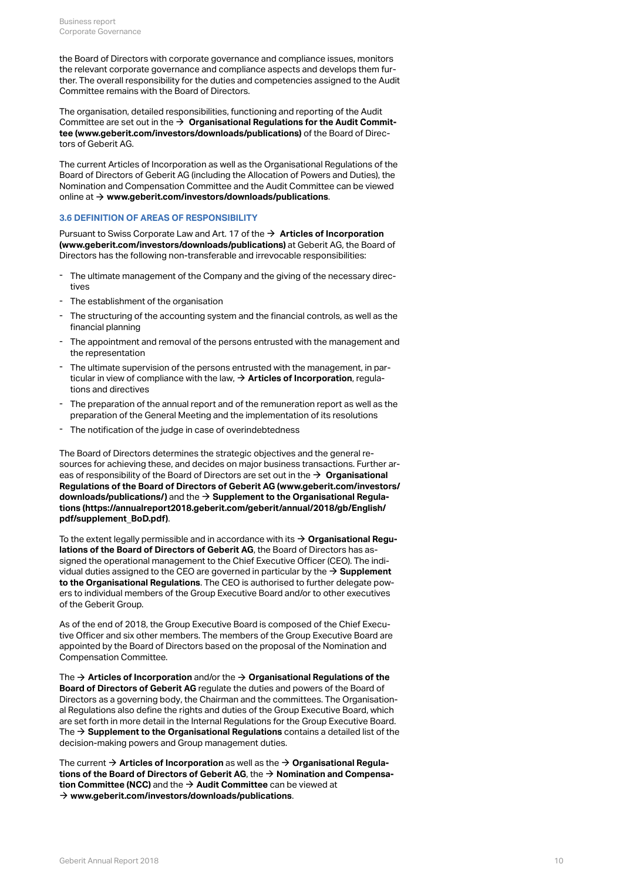the Board of Directors with corporate governance and compliance issues, monitors the relevant corporate governance and compliance aspects and develops them further. The overall responsibility for the duties and competencies assigned to the Audit Committee remains with the Board of Directors.

The organisation, detailed responsibilities, functioning and reporting of the Audit Committee are set out in the  $\rightarrow$   $\,$  [Organisational Regulations for the Audit Commit](https://annualreport.geberit.com/geberit/annual/2018/gb/layout/../English/pdf/organizational_regulations_BoD.pdf)**[tee \(www.geberit.com/investors/downloads/publications\)](https://annualreport.geberit.com/geberit/annual/2018/gb/layout/../English/pdf/organizational_regulations_BoD.pdf)** of the Board of Directors of Geberit AG.

The current Articles of Incorporation as well as the Organisational Regulations of the Board of Directors of Geberit AG (including the Allocation of Powers and Duties), the Nomination and Compensation Committee and the Audit Committee can be viewed online at **[www.geberit.com/investors/downloads/publications](https://www.geberit.com/investors/downloads/publications/)**. [\\$](https://www.geberit.com/investors/downloads/publications/)

#### <span id="page-9-0"></span>**3.6 DEFINITION OF AREAS OF RESPONSIBILITY**

Pursuant to Swiss Corporate Law and Art. 17 of the **→ [Articles of Incorporation](https://annualreport.geberit.com/geberit/annual/2018/gb/layout/../English/pdf/articles_of_incorporation_geberit_ag.pdf) [\(www.geberit.com/investors/downloads/publications\)](https://annualreport.geberit.com/geberit/annual/2018/gb/layout/../English/pdf/articles_of_incorporation_geberit_ag.pdf)** at Geberit AG, the Board of Directors has the following non-transferable and irrevocable responsibilities:

- The ultimate management of the Company and the giving of the necessary directives
- The establishment of the organisation
- The structuring of the accounting system and the financial controls, as well as the financial planning
- The appointment and removal of the persons entrusted with the management and the representation
- The ultimate supervision of the persons entrusted with the management, in particular in view of compliance with the law,  $\rightarrow$  **[Articles of Incorporation](https://annualreport.geberit.com/geberit/annual/2018/gb/layout/../English/pdf/articles_of_incorporation_geberit_ag.pdf)**, regulations and directives
- The preparation of the annual report and of the remuneration report as well as the preparation of the General Meeting and the implementation of its resolutions
- The notification of the judge in case of overindebtedness

The Board of Directors determines the strategic objectives and the general resources for achieving these, and decides on major business transactions. Further areas of responsibility of the Board of Directors are set out in the  $\bm{\rightarrow}$   $\bm{\textsf{Organisational}}$  $\bm{\textsf{Organisational}}$  $\bm{\textsf{Organisational}}$ **[Regulations of the Board of Directors of Geberit AG \(www.geberit.com/investors/](https://annualreport.geberit.com/geberit/annual/2018/gb/layout/../English/pdf/organizational_regulations_BoD.pdf) [downloads/publications/\)](https://annualreport.geberit.com/geberit/annual/2018/gb/layout/../English/pdf/organizational_regulations_BoD.pdf)** and the **[Supplement to the Organisational Regula-](https://annualreport.geberit.com/geberit/annual/2018/gb/layout/../English/pdf/supplement_BoD.pdf)**[\\$](https://annualreport.geberit.com/geberit/annual/2018/gb/layout/../English/pdf/supplement_BoD.pdf) **[tions \(https://annualreport2018.geberit.com/geberit/annual/2018/gb/English/](https://annualreport.geberit.com/geberit/annual/2018/gb/layout/../English/pdf/supplement_BoD.pdf) [pdf/supplement\\_BoD.pdf\)](https://annualreport.geberit.com/geberit/annual/2018/gb/layout/../English/pdf/supplement_BoD.pdf)**.

To the extent legally permissible and in accordance with its **[Organisational Regu-](https://annualreport.geberit.com/geberit/annual/2018/gb/layout/../English/pdf/organizational_regulations_BoD.pdf)**[\\$](https://annualreport.geberit.com/geberit/annual/2018/gb/layout/../English/pdf/organizational_regulations_BoD.pdf) **[lations of the Board of Directors of Geberit AG](https://annualreport.geberit.com/geberit/annual/2018/gb/layout/../English/pdf/organizational_regulations_BoD.pdf)**, the Board of Directors has assigned the operational management to the Chief Executive Officer (CEO). The individual duties assigned to the CEO are governed in particular by the  $\rightarrow$  **[Supplement](https://annualreport.geberit.com/geberit/annual/2018/gb/layout/../English/pdf/supplement_BoD.pdf) [to the Organisational Regulations](https://annualreport.geberit.com/geberit/annual/2018/gb/layout/../English/pdf/supplement_BoD.pdf)**. The CEO is authorised to further delegate powers to individual members of the Group Executive Board and/or to other executives of the Geberit Group.

As of the end of 2018, the Group Executive Board is composed of the Chief Executive Officer and six other members. The members of the Group Executive Board are appointed by the Board of Directors based on the proposal of the Nomination and Compensation Committee.

The  $\rightarrow$  [Articles of Incorporation](https://annualreport.geberit.com/geberit/annual/2018/gb/layout/../English/pdf/articles_of_incorporation_geberit_ag.pdf) and/or the  $\rightarrow$  [Organisational Regulations of the](https://annualreport.geberit.com/geberit/annual/2018/gb/layout/../English/pdf/organizational_regulations_BoD.pdf) **[Board of Directors of Geberit AG](https://annualreport.geberit.com/geberit/annual/2018/gb/layout/../English/pdf/organizational_regulations_BoD.pdf)** regulate the duties and powers of the Board of Directors as a governing body, the Chairman and the committees. The Organisational Regulations also define the rights and duties of the Group Executive Board, which are set forth in more detail in the Internal Regulations for the Group Executive Board. The  $\bm{\rightarrow}$  **[Supplement to the Organisational Regulations](http://annualreport.geberit.com/geberit/annual/2018/gb/layout/../English/pdf/supplement_BoD.pdf)** contains a detailed list of the decision-making powers and Group management duties.

The current **[Articles of Incorporation](http://annualreport.geberit.com/geberit/annual/2018/gb/layout/../English/pdf/articles_of_incorporation_geberit_ag.pdf)** as well as the **[Organisational Regula-](http://annualreport.geberit.com/geberit/annual/2018/gb/layout/../English/pdf/organizational_regulations_BoD.pdf)**[\\$](http://annualreport.geberit.com/geberit/annual/2018/gb/layout/../English/pdf/articles_of_incorporation_geberit_ag.pdf) [\\$](http://annualreport.geberit.com/geberit/annual/2018/gb/layout/../English/pdf/organizational_regulations_BoD.pdf) **[tions of the Board of Directors of Geberit AG](http://annualreport.geberit.com/geberit/annual/2018/gb/layout/../English/pdf/organizational_regulations_BoD.pdf)**, the **[Nomination and Compensa-](http://annualreport.geberit.com/geberit/annual/2018/gb/layout/../English/pdf/orgreglement-2014-ncc-en.pdf)**[\\$](http://annualreport.geberit.com/geberit/annual/2018/gb/layout/../English/pdf/orgreglement-2014-ncc-en.pdf)  $\bm{\mathsf{t}}$  ion  $\bm{\mathsf{Committee}}$  (NCC) and the  $\bm{\rightarrow}$   $\bm{\mathsf{A}}$ udit  $\bm{\mathsf{Committee}}$  can be viewed at **[www.geberit.com/investors/downloads/publications](http://www.geberit.com/investors/downloads/publications/)**. [\\$](http://www.geberit.com/investors/downloads/publications/)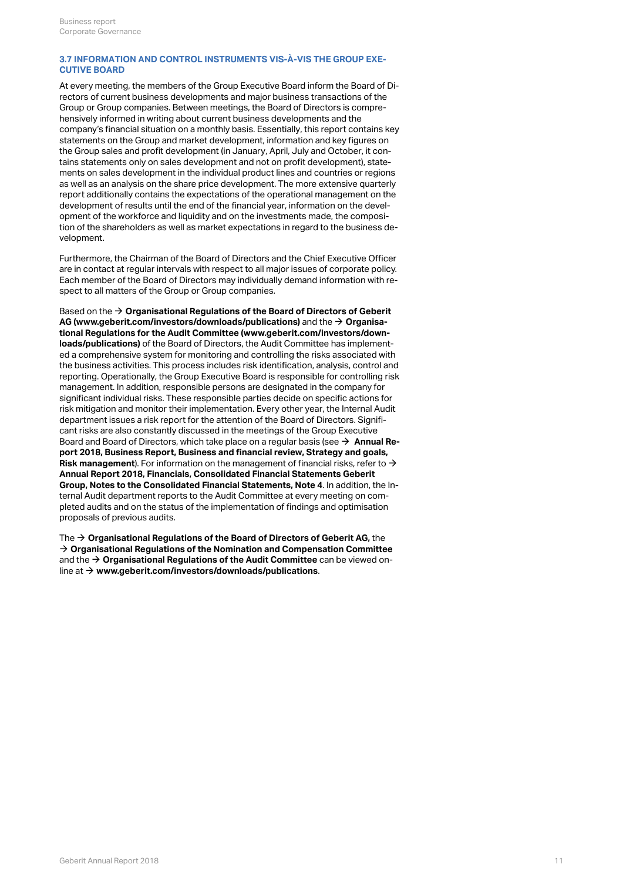## <span id="page-10-0"></span>**3.7 INFORMATION AND CONTROL INSTRUMENTS VIS-À-VIS THE GROUP EXE-CUTIVE BOARD**

At every meeting, the members of the Group Executive Board inform the Board of Directors of current business developments and major business transactions of the Group or Group companies. Between meetings, the Board of Directors is comprehensively informed in writing about current business developments and the company's financial situation on a monthly basis. Essentially, this report contains key statements on the Group and market development, information and key figures on the Group sales and profit development (in January, April, July and October, it contains statements only on sales development and not on profit development), statements on sales development in the individual product lines and countries or regions as well as an analysis on the share price development. The more extensive quarterly report additionally contains the expectations of the operational management on the development of results until the end of the financial year, information on the development of the workforce and liquidity and on the investments made, the composition of the shareholders as well as market expectations in regard to the business development.

Furthermore, the Chairman of the Board of Directors and the Chief Executive Officer are in contact at regular intervals with respect to all major issues of corporate policy. Each member of the Board of Directors may individually demand information with respect to all matters of the Group or Group companies.

Based on the  $\bm{\rightarrow}$  **[Organisational Regulations of the Board of Directors of Geberit](http://annualreport.geberit.com/geberit/annual/2018/gb/layout/../English/pdf/organizational_regulations_BoD.pdf) [AG \(www.geberit.com/investors/downloads/publications\)](http://annualreport.geberit.com/geberit/annual/2018/gb/layout/../English/pdf/organizational_regulations_BoD.pdf)** and the  $\rightarrow$  **[Organisa](http://annualreport.geberit.com/geberit/annual/2018/gb/layout/../English/pdf/orgreglement-2014-ac-en.pdf)[tional Regulations for the Audit Committee \(www.geberit.com/investors/down](http://annualreport.geberit.com/geberit/annual/2018/gb/layout/../English/pdf/orgreglement-2014-ac-en.pdf)[loads/publications\)](http://annualreport.geberit.com/geberit/annual/2018/gb/layout/../English/pdf/orgreglement-2014-ac-en.pdf)** of the Board of Directors, the Audit Committee has implemented a comprehensive system for monitoring and controlling the risks associated with the business activities. This process includes risk identification, analysis, control and reporting. Operationally, the Group Executive Board is responsible for controlling risk management. In addition, responsible persons are designated in the company for significant individual risks. These responsible parties decide on specific actions for risk mitigation and monitor their implementation. Every other year, the Internal Audit department issues a risk report for the attention of the Board of Directors. Significant risks are also constantly discussed in the meetings of the Group Executive Board and Board of Directors, which take place on a regular basis (see **[Annual Re-](http://annualreport.geberit.com/reports/geberit/annual/2018/gb/English/10501050/risk-management.html)**[\\$](http://annualreport.geberit.com/reports/geberit/annual/2018/gb/English/10501050/risk-management.html) **[port 2018, Business Report, Business and financial review, Strategy and goals,](http://annualreport.geberit.com/reports/geberit/annual/2018/gb/English/10501050/risk-management.html)** [Risk management](http://annualreport.geberit.com/reports/geberit/annual/2018/gb/English/10501050/risk-management.html)). For information on the management of financial risks, refer to  $\rightarrow$ **[Annual Report 2018, Financials, Consolidated Financial Statements Geberit](http://annualreport.geberit.com/reports/geberit/annual/2018/gb/English/20405004/4_-risk-assessment-and-management.html) [Group, Notes to the Consolidated Financial Statements, Note 4](http://annualreport.geberit.com/reports/geberit/annual/2018/gb/English/20405004/4_-risk-assessment-and-management.html)**. In addition, the Internal Audit department reports to the Audit Committee at every meeting on completed audits and on the status of the implementation of findings and optimisation proposals of previous audits.  $\rightarrow$ 

The **[Organisational Regulations of the Board of Directors of Geberit AG,](http://annualreport.geberit.com/geberit/annual/2018/gb/layout/../English/pdf/organizational_regulations_BoD.pdf)** the [\\$](http://annualreport.geberit.com/geberit/annual/2018/gb/layout/../English/pdf/organizational_regulations_BoD.pdf)  $\rightarrow$  [Organisational Regulations of the Nomination and Compensation Committee](http://annualreport.geberit.com/geberit/annual/2018/gb/layout/../English/pdf/organizational_regulations_NCC.pdf) and the **[Organisational Regulations of the Audit Committee](http://annualreport.geberit.com/geberit/annual/2018/gb/layout/../English/pdf/organizational_regulations_AC.pdf)** can be viewed on-[\\$](http://annualreport.geberit.com/geberit/annual/2018/gb/layout/../English/pdf/organizational_regulations_AC.pdf) line at → [www.geberit.com/investors/downloads/publications](http://www.geberit.com/investors/downloads/publications/).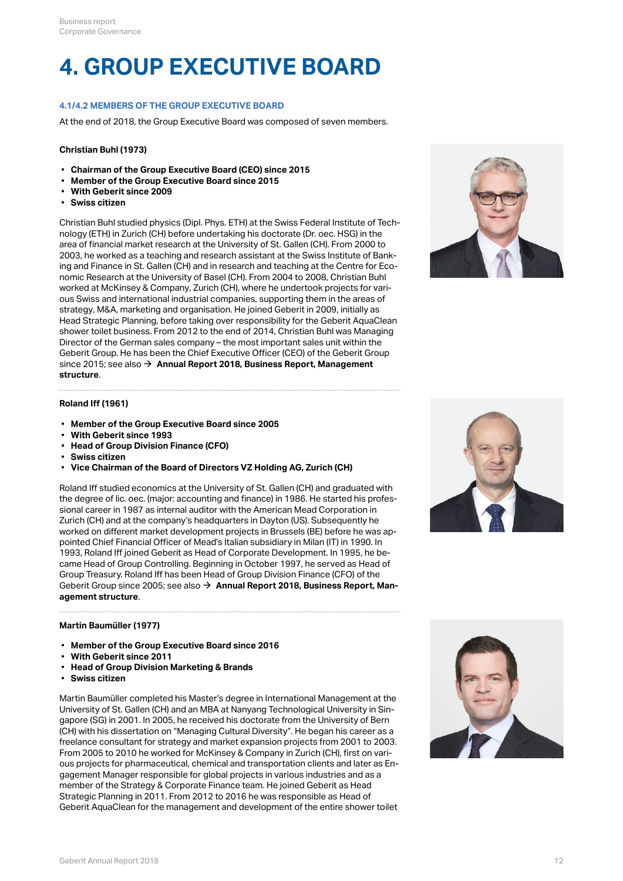## **4. GROUP EXECUTIVE BOARD**

## **4.1/4.2 MEMBERS OF THE GROUP EXECUTIVE BOARD**

At the end of 2018, the Group Executive Board was composed of seven members.

#### **Christian Buhl (1973)**

- **Chairman of the Group Executive Board (CEO) since 2015**
- **Member of the Group Executive Board since 2015**
- **With Geberit since 2009**
- **Swiss citizen**

Christian Buhl studied physics (Dipl. Phys. ETH) at the Swiss Federal Institute of Technology (ETH) in Zurich (CH) before undertaking his doctorate (Dr. oec. HSG) in the area of financial market research at the University of St. Gallen (CH). From 2000 to 2003, he worked as a teaching and research assistant at the Swiss Institute of Banking and Finance in St. Gallen (CH) and in research and teaching at the Centre for Economic Research at the University of Basel (CH). From 2004 to 2008, Christian Buhl worked at McKinsey & Company, Zurich (CH), where he undertook projects for various Swiss and international industrial companies, supporting them in the areas of strategy, M&A, marketing and organisation. He joined Geberit in 2009, initially as Head Strategic Planning, before taking over responsibility for the Geberit AquaClean shower toilet business. From 2012 to the end of 2014, Christian Buhl was Managing Director of the German sales company – the most important sales unit within the Geberit Group. He has been the Chief Executive Officer (CEO) of the Geberit Group since 2015; see also **[Annual Report 2018, Business Report, Management](http://annualreport.geberit.com/reports/geberit/annual/2018/gb/English/1040/management-structure.html)** [\\$](http://annualreport.geberit.com/reports/geberit/annual/2018/gb/English/1040/management-structure.html) **[structure](http://annualreport.geberit.com/reports/geberit/annual/2018/gb/English/1040/management-structure.html)**.



#### **Roland Iff (1961)**

- **Member of the Group Executive Board since 2005**
- **With Geberit since 1993**
- **Head of Group Division Finance (CFO)**
- **Swiss citizen**
- **Vice Chairman of the Board of Directors VZ Holding AG, Zurich (CH)**

Roland Iff studied economics at the University of St. Gallen (CH) and graduated with the degree of lic. oec. (major: accounting and finance) in 1986. He started his professional career in 1987 as internal auditor with the American Mead Corporation in Zurich (CH) and at the company's headquarters in Dayton (US). Subsequently he worked on different market development projects in Brussels (BE) before he was appointed Chief Financial Officer of Mead's Italian subsidiary in Milan (IT) in 1990. In 1993, Roland Iff joined Geberit as Head of Corporate Development. In 1995, he became Head of Group Controlling. Beginning in October 1997, he served as Head of Group Treasury. Roland Iff has been Head of Group Division Finance (CFO) of the Geberit Group since 2005; see also  $\rightarrow$  [Annual Report 2018, Business Report, Man](http://annualreport.geberit.com/reports/geberit/annual/2018/gb/English/1040/management-structure.html)**[agement structure](http://annualreport.geberit.com/reports/geberit/annual/2018/gb/English/1040/management-structure.html)**.



### **Martin Baumüller (1977)**

- **Member of the Group Executive Board since 2016**
- **With Geberit since 2011**
- **Head of Group Division Marketing & Brands**
- **Swiss citizen**

Martin Baumüller completed his Master's degree in International Management at the University of St. Gallen (CH) and an MBA at Nanyang Technological University in Singapore (SG) in 2001. In 2005, he received his doctorate from the University of Bern (CH) with his dissertation on "Managing Cultural Diversity". He began his career as a freelance consultant for strategy and market expansion projects from 2001 to 2003. From 2005 to 2010 he worked for McKinsey & Company in Zurich (CH), first on various projects for pharmaceutical, chemical and transportation clients and later as Engagement Manager responsible for global projects in various industries and as a member of the Strategy & Corporate Finance team. He joined Geberit as Head Strategic Planning in 2011. From 2012 to 2016 he was responsible as Head of Geberit AquaClean for the management and development of the entire shower toilet

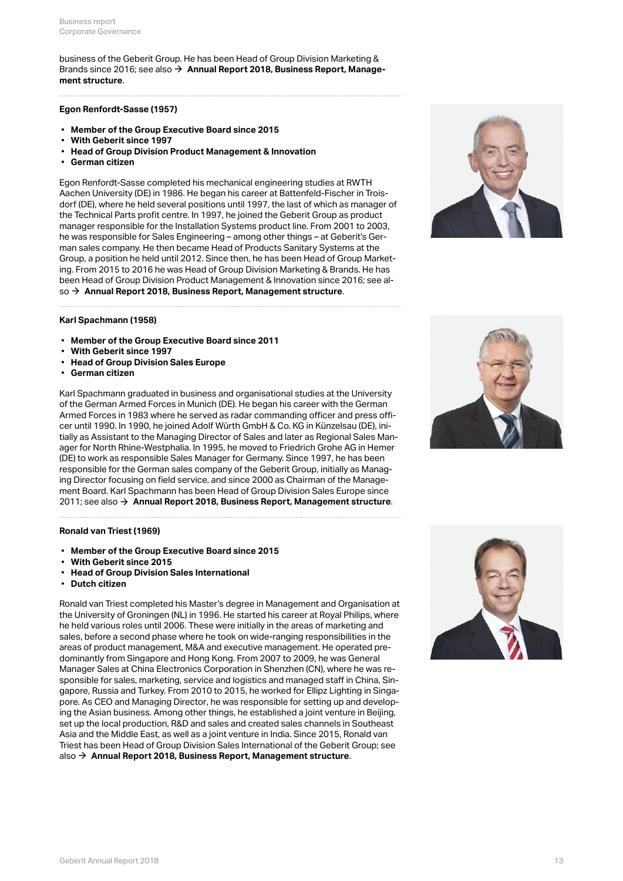business of the Geberit Group. He has been Head of Group Division Marketing & Brands since 2016; see also **[Annual Report 2018, Business Report, Manage-](http://annualreport.geberit.com/reports/geberit/annual/2018/gb/English/1040/management-structure.html)**[\\$](http://annualreport.geberit.com/reports/geberit/annual/2018/gb/English/1040/management-structure.html) **[ment structure](http://annualreport.geberit.com/reports/geberit/annual/2018/gb/English/1040/management-structure.html)**.

### **Egon Renfordt-Sasse (1957)**

- **Member of the Group Executive Board since 2015**
- **With Geberit since 1997**
- **Head of Group Division Product Management & Innovation**
- **German citizen**

Egon Renfordt-Sasse completed his mechanical engineering studies at RWTH Aachen University (DE) in 1986. He began his career at Battenfeld-Fischer in Troisdorf (DE), where he held several positions until 1997, the last of which as manager of the Technical Parts profit centre. In 1997, he joined the Geberit Group as product manager responsible for the Installation Systems product line. From 2001 to 2003, he was responsible for Sales Engineering – among other things – at Geberit's German sales company. He then became Head of Products Sanitary Systems at the Group, a position he held until 2012. Since then, he has been Head of Group Marketing. From 2015 to 2016 he was Head of Group Division Marketing & Brands. He has been Head of Group Division Product Management & Innovation since 2016; see also **[Annual Report 2018, Business Report, Management structure](http://annualreport.geberit.com/reports/geberit/annual/2018/gb/English/1040/management-structure.html)**. [\\$](http://annualreport.geberit.com/reports/geberit/annual/2018/gb/English/1040/management-structure.html)



## **Karl Spachmann (1958)**

- **Member of the Group Executive Board since 2011**
- **With Geberit since 1997**
- **Head of Group Division Sales Europe**
- **German citizen**

Karl Spachmann graduated in business and organisational studies at the University of the German Armed Forces in Munich (DE). He began his career with the German Armed Forces in 1983 where he served as radar commanding officer and press officer until 1990. In 1990, he joined Adolf Würth GmbH & Co. KG in Künzelsau (DE), initially as Assistant to the Managing Director of Sales and later as Regional Sales Manager for North Rhine-Westphalia. In 1995, he moved to Friedrich Grohe AG in Hemer (DE) to work as responsible Sales Manager for Germany. Since 1997, he has been responsible for the German sales company of the Geberit Group, initially as Managing Director focusing on field service, and since 2000 as Chairman of the Management Board. Karl Spachmann has been Head of Group Division Sales Europe since 2011; see also **[Annual Report 2018, Business Report, Management structure](http://annualreport.geberit.com/reports/geberit/annual/2018/gb/English/1040/management-structure.html)**. [\\$](http://annualreport.geberit.com/reports/geberit/annual/2018/gb/English/1040/management-structure.html)

#### **Ronald van Triest (1969)**

- **Member of the Group Executive Board since 2015**
- **With Geberit since 2015**
- **Head of Group Division Sales International**
- **Dutch citizen**

Ronald van Triest completed his Master's degree in Management and Organisation at the University of Groningen (NL) in 1996. He started his career at Royal Philips, where he held various roles until 2006. These were initially in the areas of marketing and sales, before a second phase where he took on wide-ranging responsibilities in the areas of product management, M&A and executive management. He operated predominantly from Singapore and Hong Kong. From 2007 to 2009, he was General Manager Sales at China Electronics Corporation in Shenzhen (CN), where he was responsible for sales, marketing, service and logistics and managed staff in China, Singapore, Russia and Turkey. From 2010 to 2015, he worked for Ellipz Lighting in Singapore. As CEO and Managing Director, he was responsible for setting up and developing the Asian business. Among other things, he established a joint venture in Beijing, set up the local production, R&D and sales and created sales channels in Southeast Asia and the Middle East, as well as a joint venture in India. Since 2015, Ronald van Triest has been Head of Group Division Sales International of the Geberit Group; see also → [Annual Report 2018, Business Report, Management structure](http://annualreport.geberit.com/reports/geberit/annual/2018/gb/English/1040/management-structure.html).



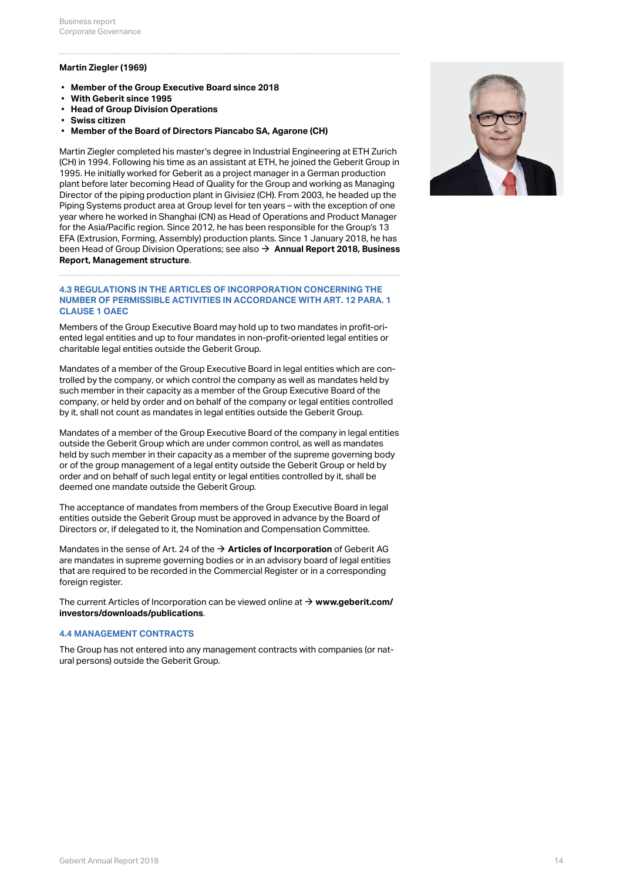## **Martin Ziegler (1969)**

- **Member of the Group Executive Board since 2018**
- **With Geberit since 1995**
- **Head of Group Division Operations**
- **Swiss citizen**
- **Member of the Board of Directors Piancabo SA, Agarone (CH)**

Martin Ziegler completed his master's degree in Industrial Engineering at ETH Zurich (CH) in 1994. Following his time as an assistant at ETH, he joined the Geberit Group in 1995. He initially worked for Geberit as a project manager in a German production plant before later becoming Head of Quality for the Group and working as Managing Director of the piping production plant in Givisiez (CH). From 2003, he headed up the Piping Systems product area at Group level for ten years – with the exception of one year where he worked in Shanghai (CN) as Head of Operations and Product Manager for the Asia/Pacific region. Since 2012, he has been responsible for the Group's 13 EFA (Extrusion, Forming, Assembly) production plants. Since 1 January 2018, he has been Head of Group Division Operations; see also **→ [Annual Report 2018, Business](http://annualreport.geberit.com/reports/geberit/annual/2018/gb/English/1040/management-structure.html) [Report, Management structure](http://annualreport.geberit.com/reports/geberit/annual/2018/gb/English/1040/management-structure.html)**.

#### **4.3 REGULATIONS IN THE ARTICLES OF INCORPORATION CONCERNING THE NUMBER OF PERMISSIBLE ACTIVITIES IN ACCORDANCE WITH ART. 12 PARA. 1 CLAUSE 1 OAEC**

Members of the Group Executive Board may hold up to two mandates in profit-oriented legal entities and up to four mandates in non-profit-oriented legal entities or charitable legal entities outside the Geberit Group.

Mandates of a member of the Group Executive Board in legal entities which are controlled by the company, or which control the company as well as mandates held by such member in their capacity as a member of the Group Executive Board of the company, or held by order and on behalf of the company or legal entities controlled by it, shall not count as mandates in legal entities outside the Geberit Group.

Mandates of a member of the Group Executive Board of the company in legal entities outside the Geberit Group which are under common control, as well as mandates held by such member in their capacity as a member of the supreme governing body or of the group management of a legal entity outside the Geberit Group or held by order and on behalf of such legal entity or legal entities controlled by it, shall be deemed one mandate outside the Geberit Group.

The acceptance of mandates from members of the Group Executive Board in legal entities outside the Geberit Group must be approved in advance by the Board of Directors or, if delegated to it, the Nomination and Compensation Committee.

Mandates in the sense of Art. 24 of the **[Articles of Incorporation](https://annualreport.geberit.com/geberit/annual/2018/gb/layout/../English/pdf/articles_of_incorporation_geberit_ag.pdf)** of Geberit AG [\\$](https://annualreport.geberit.com/geberit/annual/2018/gb/layout/../English/pdf/articles_of_incorporation_geberit_ag.pdf) are mandates in supreme governing bodies or in an advisory board of legal entities that are required to be recorded in the Commercial Register or in a corresponding foreign register.

The current Articles of Incorporation can be viewed online at  $\rightarrow$   $www.geberit.com/$ **[investors/downloads/publications](http://www.geberit.com/investors/downloads/publications/)**.

#### **4.4 MANAGEMENT CONTRACTS**

The Group has not entered into any management contracts with companies (or natural persons) outside the Geberit Group.

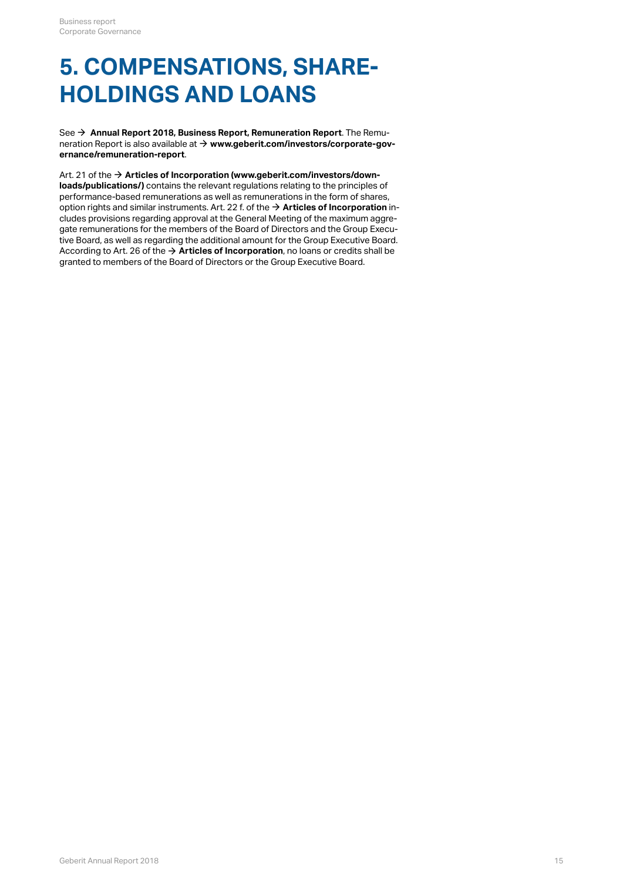## **5. COMPENSATIONS, SHARE-HOLDINGS AND LOANS**

See → [Annual Report 2018, Business Report, Remuneration Report](http://annualreport.geberit.com/reports/geberit/annual/2018/gb/English/1070/remune_ration-report.html?anchor=pdf_page_107010#pdf_page_107010). The Remuneration Report is also available at **[www.geberit.com/investors/corporate-gov-](https://www.geberit.com/investors/corporate-governance/remuneration-report/)**[\\$](https://www.geberit.com/investors/corporate-governance/remuneration-report/) **[ernance/remuneration-report](https://www.geberit.com/investors/corporate-governance/remuneration-report/)**.

Art. 21 of the **[Articles of Incorporation \(www.geberit.com/investors/down-](https://annualreport.geberit.com/geberit/annual/2018/gb/layout/../English/pdf/articles_of_incorporation_geberit_ag.pdf)**[\\$](https://annualreport.geberit.com/geberit/annual/2018/gb/layout/../English/pdf/articles_of_incorporation_geberit_ag.pdf) **[loads/publications/\)](https://annualreport.geberit.com/geberit/annual/2018/gb/layout/../English/pdf/articles_of_incorporation_geberit_ag.pdf)** contains the relevant regulations relating to the principles of performance-based remunerations as well as remunerations in the form of shares, option rights and similar instruments. Art. 22 f. of the  $\rightarrow$  **[Articles of Incorporation](https://annualreport.geberit.com/geberit/annual/2018/gb/layout/../English/pdf/articles_of_incorporation_geberit_ag.pdf)** includes provisions regarding approval at the General Meeting of the maximum aggregate remunerations for the members of the Board of Directors and the Group Executive Board, as well as regarding the additional amount for the Group Executive Board. According to Art. 26 of the **[Articles of Incorporation](https://annualreport.geberit.com/geberit/annual/2018/gb/layout/../English/pdf/articles_of_incorporation_geberit_ag.pdf)**, no loans or credits shall be [\\$](https://annualreport.geberit.com/geberit/annual/2018/gb/layout/../English/pdf/articles_of_incorporation_geberit_ag.pdf)granted to members of the Board of Directors or the Group Executive Board.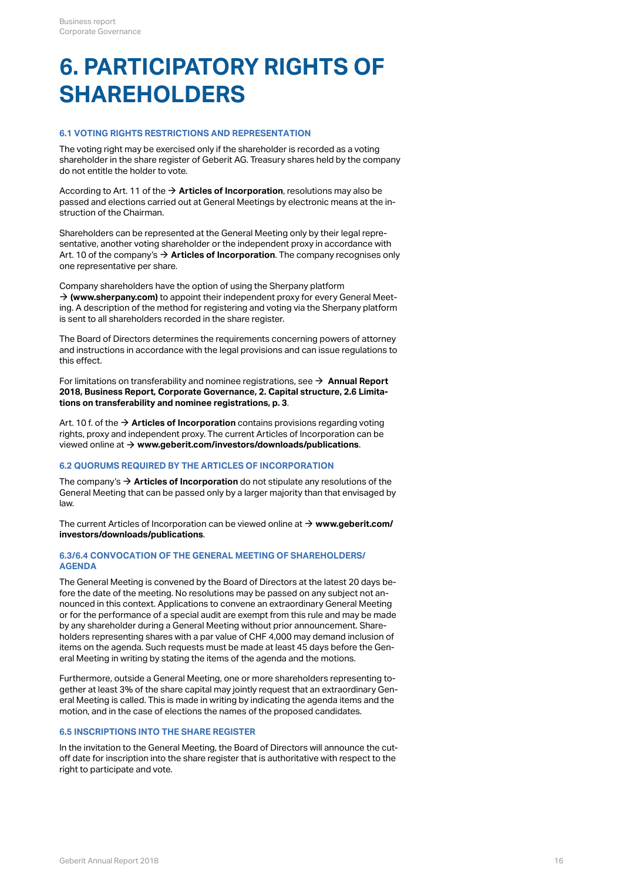## <span id="page-15-0"></span>**6. PARTICIPATORY RIGHTS OF SHAREHOLDERS**

## **6.1 VOTING RIGHTS RESTRICTIONS AND REPRESENTATION**

The voting right may be exercised only if the shareholder is recorded as a voting shareholder in the share register of Geberit AG. Treasury shares held by the company do not entitle the holder to vote.

According to Art. 11 of the **[Articles of Incorporation](http://annualreport.geberit.com/geberit/annual/2018/gb/layout/../English/pdf/articles_of_incorporation_geberit_ag.pdf)**, resolutions may also be [\\$](http://annualreport.geberit.com/geberit/annual/2018/gb/layout/../English/pdf/articles_of_incorporation_geberit_ag.pdf) passed and elections carried out at General Meetings by electronic means at the instruction of the Chairman.

Shareholders can be represented at the General Meeting only by their legal representative, another voting shareholder or the independent proxy in accordance with Art. 10 of the company's **[Articles of Incorporation](http://annualreport.geberit.com/geberit/annual/2018/gb/layout/../English/pdf/articles_of_incorporation_geberit_ag.pdf)**. The company recognises only [\\$](http://annualreport.geberit.com/geberit/annual/2018/gb/layout/../English/pdf/articles_of_incorporation_geberit_ag.pdf) one representative per share.

Company shareholders have the option of using the Sherpany platform → [\(www.sherpany.com\)](https://www.sherpany.com/en/) to appoint their independent proxy for every General Meeting. A description of the method for registering and voting via the Sherpany platform is sent to all shareholders recorded in the share register.

The Board of Directors determines the requirements concerning powers of attorney and instructions in accordance with the legal provisions and can issue regulations to this effect.

For limitations on transferability and nominee registrations, see  $\rightarrow \,$  **[Annual Report](#page-2-0) [2018, Business Report, Corporate Governance, 2. Capital structure, 2.6 Limita](#page-2-0)[tions on transferability and nominee registrations, p. 3](#page-2-0)**.

Art. 10 f. of the → **[Articles of Incorporation](http://annualreport.geberit.com/geberit/annual/2018/gb/layout/../English/pdf/articles_of_incorporation_geberit_ag.pdf)** contains provisions regarding voting rights, proxy and independent proxy. The current Articles of Incorporation can be viewed online at **[www.geberit.com/investors/downloads/publications](https://www.geberit.com/investors/downloads/publications/)**. [\\$](https://www.geberit.com/investors/downloads/publications/)

## **6.2 QUORUMS REQUIRED BY THE ARTICLES OF INCORPORATION**

The company's **[Articles of Incorporation](http://annualreport.geberit.com/geberit/annual/2018/gb/layout/../English/pdf/articles_of_incorporation_geberit_ag.pdf)** do not stipulate any resolutions of the [\\$](http://annualreport.geberit.com/geberit/annual/2018/gb/layout/../English/pdf/articles_of_incorporation_geberit_ag.pdf) General Meeting that can be passed only by a larger majority than that envisaged by law.

The current Articles of Incorporation can be viewed online at  $\rightarrow$   $www.geberit.com/$ **[investors/downloads/publications](https://www.geberit.com/investors/downloads/publications/)**.

## **6.3/6.4 CONVOCATION OF THE GENERAL MEETING OF SHAREHOLDERS/ AGENDA**

The General Meeting is convened by the Board of Directors at the latest 20 days before the date of the meeting. No resolutions may be passed on any subject not announced in this context. Applications to convene an extraordinary General Meeting or for the performance of a special audit are exempt from this rule and may be made by any shareholder during a General Meeting without prior announcement. Shareholders representing shares with a par value of CHF 4,000 may demand inclusion of items on the agenda. Such requests must be made at least 45 days before the General Meeting in writing by stating the items of the agenda and the motions.

Furthermore, outside a General Meeting, one or more shareholders representing together at least 3% of the share capital may jointly request that an extraordinary General Meeting is called. This is made in writing by indicating the agenda items and the motion, and in the case of elections the names of the proposed candidates.

## **6.5 INSCRIPTIONS INTO THE SHARE REGISTER**

In the invitation to the General Meeting, the Board of Directors will announce the cutoff date for inscription into the share register that is authoritative with respect to the right to participate and vote.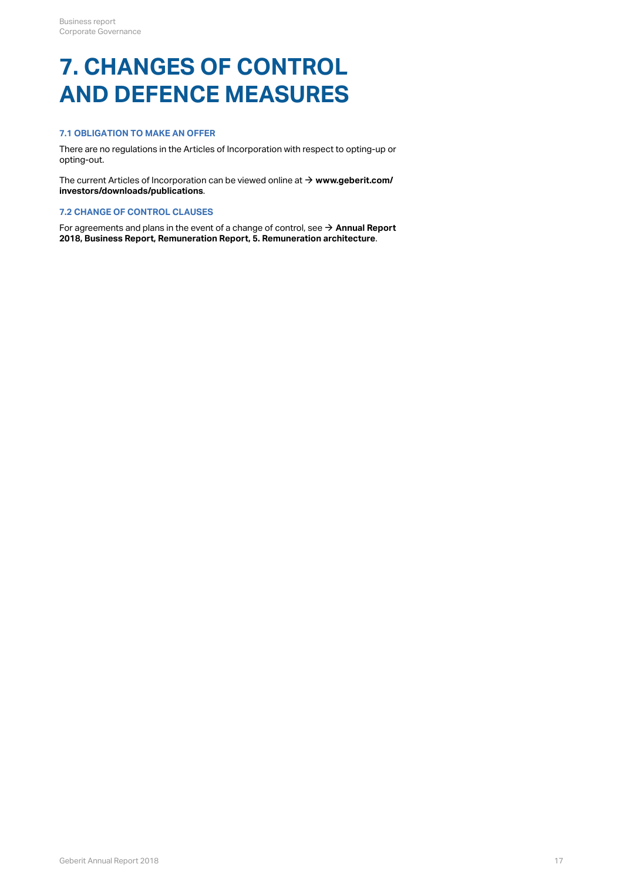## **7. CHANGES OF CONTROL AND DEFENCE MEASURES**

## **7.1 OBLIGATION TO MAKE AN OFFER**

There are no regulations in the Articles of Incorporation with respect to opting-up or opting-out.

The current Articles of Incorporation can be viewed online at  $\rightarrow$  [www.geberit.com/](https://www.geberit.com/investors/downloads/publications/) **[investors/downloads/publications](https://www.geberit.com/investors/downloads/publications/)**.

## **7.2 CHANGE OF CONTROL CLAUSES**

For agreements and plans in the event of a change of control, see **[Annual Report](http://annualreport.geberit.com/reports/geberit/annual/2018/gb/English/107050/5_-remune_ration-architecture.html)** The current Articles of Incorporation can be viewed online at → **www.geberit.com/<br>investors/downloads/publications**.<br>7.2 CHANGE OF CONTROL CLAUSES<br>For agreements and plans in the event of a change of control, see → Annual  $\rightarrow$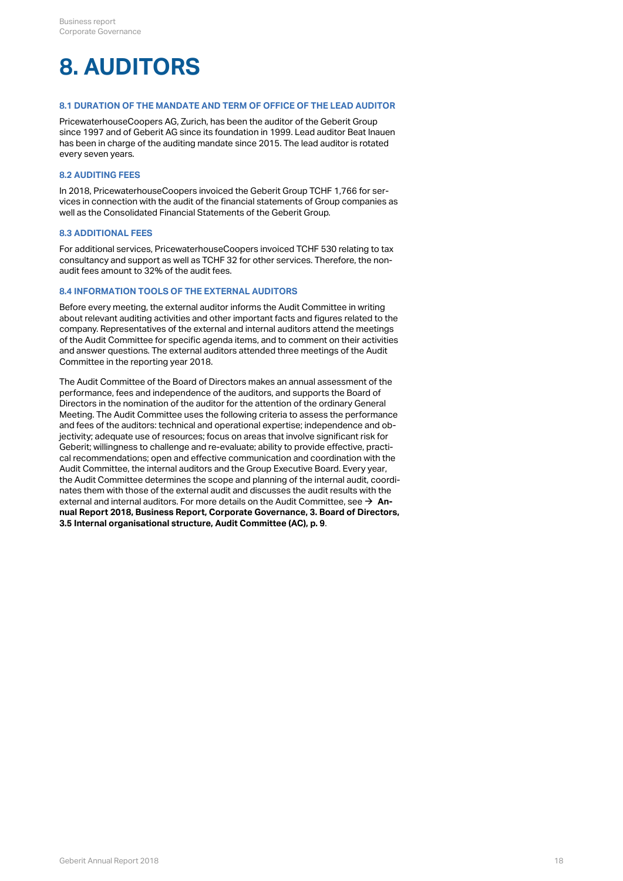## **8. AUDITORS**

## **8.1 DURATION OF THE MANDATE AND TERM OF OFFICE OF THE LEAD AUDITOR**

PricewaterhouseCoopers AG, Zurich, has been the auditor of the Geberit Group since 1997 and of Geberit AG since its foundation in 1999. Lead auditor Beat Inauen has been in charge of the auditing mandate since 2015. The lead auditor is rotated every seven years.

### **8.2 AUDITING FEES**

In 2018, PricewaterhouseCoopers invoiced the Geberit Group TCHF 1,766 for services in connection with the audit of the financial statements of Group companies as well as the Consolidated Financial Statements of the Geberit Group.

### **8.3 ADDITIONAL FEES**

For additional services, PricewaterhouseCoopers invoiced TCHF 530 relating to tax consultancy and support as well as TCHF 32 for other services. Therefore, the nonaudit fees amount to 32% of the audit fees.

### **8.4 INFORMATION TOOLS OF THE EXTERNAL AUDITORS**

Before every meeting, the external auditor informs the Audit Committee in writing about relevant auditing activities and other important facts and figures related to the company. Representatives of the external and internal auditors attend the meetings of the Audit Committee for specific agenda items, and to comment on their activities and answer questions. The external auditors attended three meetings of the Audit Committee in the reporting year 2018.

The Audit Committee of the Board of Directors makes an annual assessment of the performance, fees and independence of the auditors, and supports the Board of Directors in the nomination of the auditor for the attention of the ordinary General Meeting. The Audit Committee uses the following criteria to assess the performance and fees of the auditors: technical and operational expertise; independence and objectivity; adequate use of resources; focus on areas that involve significant risk for Geberit; willingness to challenge and re-evaluate; ability to provide effective, practical recommendations; open and effective communication and coordination with the Audit Committee, the internal auditors and the Group Executive Board. Every year, the Audit Committee determines the scope and planning of the internal audit, coordinates them with those of the external audit and discusses the audit results with the external and internal auditors. For more details on the Audit Committee, see → **[An](#page-8-0)[nual Report 2018, Business Report, Corporate Governance, 3. Board of Directors,](#page-8-0)** external and internal auditors. For more details on the Audit Committee, see → **An·**<br>**nual Report 2018, Business Report, Corporate Governance, 3. Board of Directoı<br>3.5 Internal organisational structure, Audit Committee (A**